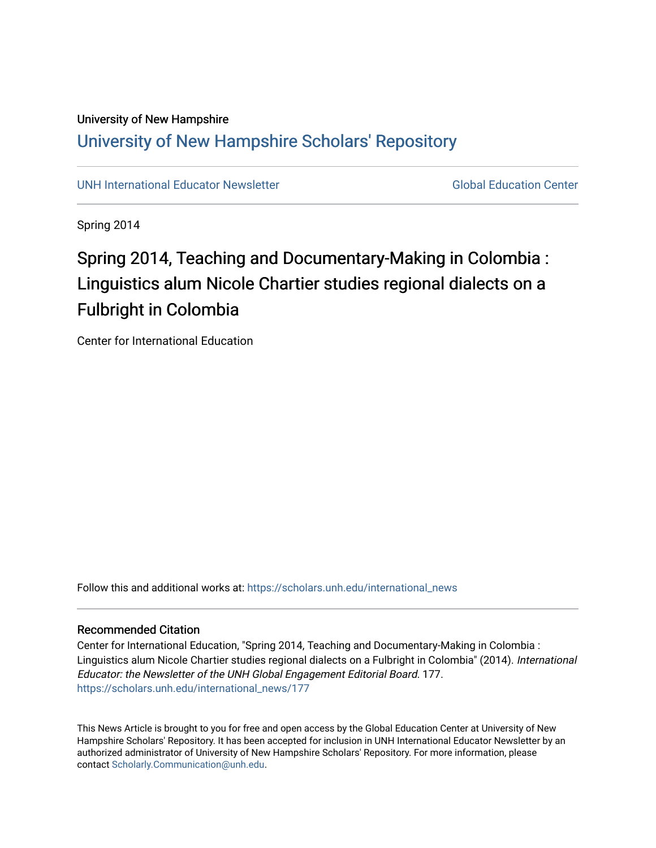## University of New Hampshire [University of New Hampshire Scholars' Repository](https://scholars.unh.edu/)

[UNH International Educator Newsletter](https://scholars.unh.edu/international_news) Global Education Center

Spring 2014

# Spring 2014, Teaching and Documentary-Making in Colombia : Linguistics alum Nicole Chartier studies regional dialects on a Fulbright in Colombia

Center for International Education

Follow this and additional works at: [https://scholars.unh.edu/international\\_news](https://scholars.unh.edu/international_news?utm_source=scholars.unh.edu%2Finternational_news%2F177&utm_medium=PDF&utm_campaign=PDFCoverPages)

#### Recommended Citation

Center for International Education, "Spring 2014, Teaching and Documentary-Making in Colombia : Linguistics alum Nicole Chartier studies regional dialects on a Fulbright in Colombia" (2014). International Educator: the Newsletter of the UNH Global Engagement Editorial Board. 177. [https://scholars.unh.edu/international\\_news/177](https://scholars.unh.edu/international_news/177?utm_source=scholars.unh.edu%2Finternational_news%2F177&utm_medium=PDF&utm_campaign=PDFCoverPages)

This News Article is brought to you for free and open access by the Global Education Center at University of New Hampshire Scholars' Repository. It has been accepted for inclusion in UNH International Educator Newsletter by an authorized administrator of University of New Hampshire Scholars' Repository. For more information, please contact [Scholarly.Communication@unh.edu.](mailto:Scholarly.Communication@unh.edu)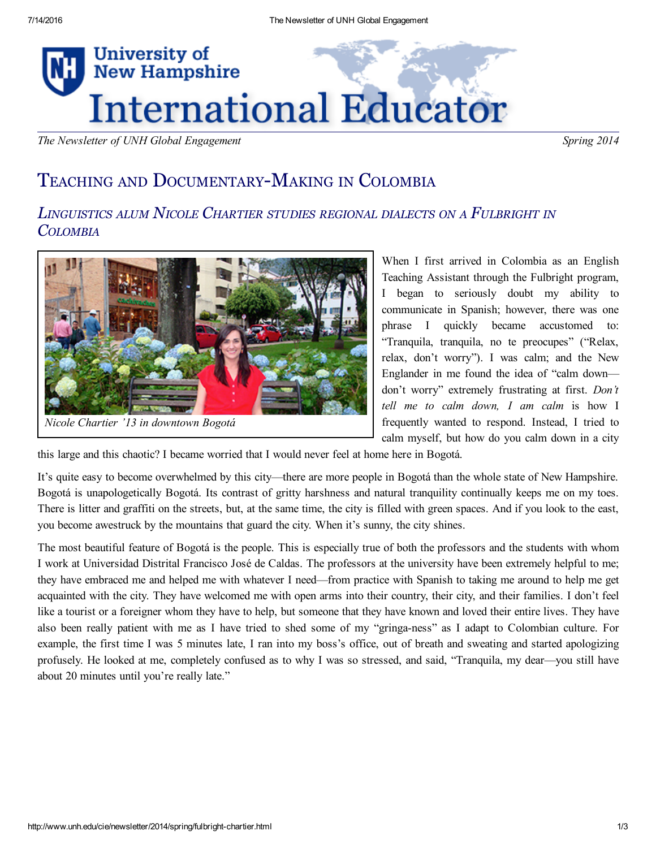

The Newsletter of UNH Global Engagement Spring 2014

## TEACHING AND DOCUMENTARY-MAKING IN COLOMBIA

### LINGUISTICS ALUM NICOLE CHARTIER STUDIES REGIONAL DIALECTS ON <sup>A</sup> FULBRIGHT IN **COLOMBIA**



Nicole Chartier '13 in downtown Bogotá

When I first arrived in Colombia as an English Teaching Assistant through the Fulbright program, I began to seriously doubt my ability to communicate in Spanish; however, there was one phrase I quickly became accustomed to: "Tranquila, tranquila, no te preocupes" ("Relax, relax, don't worry"). I was calm; and the New Englander in me found the idea of "calm down don't worry" extremely frustrating at first. Don't tell me to calm down,  $I$  am calm is how  $I$ frequently wanted to respond. Instead, I tried to calm myself, but how do you calm down in a city

this large and this chaotic? I became worried that I would never feel at home here in Bogotá.

It's quite easy to become overwhelmed by this city—there are more people in Bogotá than the whole state of New Hampshire. Bogotá is unapologetically Bogotá. Its contrast of gritty harshness and natural tranquility continually keeps me on my toes. There is litter and graffiti on the streets, but, at the same time, the city is filled with green spaces. And if you look to the east, you become awestruck by the mountains that guard the city. When it's sunny, the city shines.

The most beautiful feature of Bogotá is the people. This is especially true of both the professors and the students with whom I work at Universidad Distrital Francisco José de Caldas. The professors at the university have been extremely helpful to me; they have embraced me and helped me with whatever I need—from practice with Spanish to taking me around to help me get acquainted with the city. They have welcomed me with open arms into their country, their city, and their families. I don't feel like a tourist or a foreigner whom they have to help, but someone that they have known and loved their entire lives. They have also been really patient with me as I have tried to shed some of my "gringa-ness" as I adapt to Colombian culture. For example, the first time I was 5 minutes late, I ran into my boss's office, out of breath and sweating and started apologizing profusely. He looked at me, completely confused as to why I was so stressed, and said, "Tranquila, my dear—you still have about 20 minutes until you're really late."